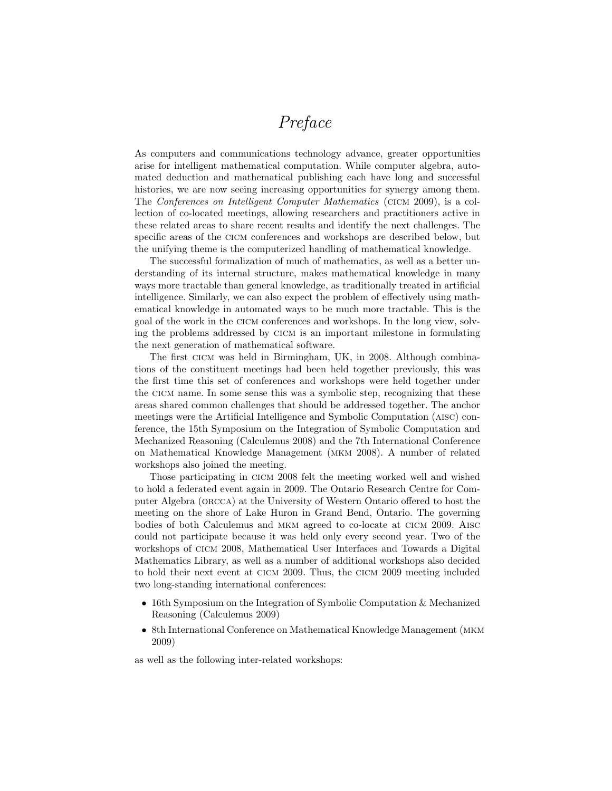Preface

As computers and communications technology advance, greater opportunities arise for intelligent mathematical computation. While computer algebra, automated deduction and mathematical publishing each have long and successful histories, we are now seeing increasing opportunities for synergy among them. The Conferences on Intelligent Computer Mathematics (CICM 2009), is a collection of co-located meetings, allowing researchers and practitioners active in these related areas to share recent results and identify the next challenges. The specific areas of the CICM conferences and workshops are described below, but the unifying theme is the computerized handling of mathematical knowledge.

The successful formalization of much of mathematics, as well as a better understanding of its internal structure, makes mathematical knowledge in many ways more tractable than general knowledge, as traditionally treated in artificial intelligence. Similarly, we can also expect the problem of effectively using mathematical knowledge in automated ways to be much more tractable. This is the goal of the work in the cicm conferences and workshops. In the long view, solving the problems addressed by cicm is an important milestone in formulating the next generation of mathematical software.

The first CICM was held in Birmingham, UK, in 2008. Although combinations of the constituent meetings had been held together previously, this was the first time this set of conferences and workshops were held together under the cicm name. In some sense this was a symbolic step, recognizing that these areas shared common challenges that should be addressed together. The anchor meetings were the Artificial Intelligence and Symbolic Computation (aisc) conference, the 15th Symposium on the Integration of Symbolic Computation and Mechanized Reasoning (Calculemus 2008) and the 7th International Conference on Mathematical Knowledge Management (mkm 2008). A number of related workshops also joined the meeting.

Those participating in cicm 2008 felt the meeting worked well and wished to hold a federated event again in 2009. The Ontario Research Centre for Computer Algebra (orcca) at the University of Western Ontario offered to host the meeting on the shore of Lake Huron in Grand Bend, Ontario. The governing bodies of both Calculemus and mkm agreed to co-locate at cicm 2009. Aisc could not participate because it was held only every second year. Two of the workshops of cicm 2008, Mathematical User Interfaces and Towards a Digital Mathematics Library, as well as a number of additional workshops also decided to hold their next event at cicm 2009. Thus, the cicm 2009 meeting included two long-standing international conferences:

- 16th Symposium on the Integration of Symbolic Computation & Mechanized Reasoning (Calculemus 2009)
- 8th International Conference on Mathematical Knowledge Management (MKM) 2009)

as well as the following inter-related workshops: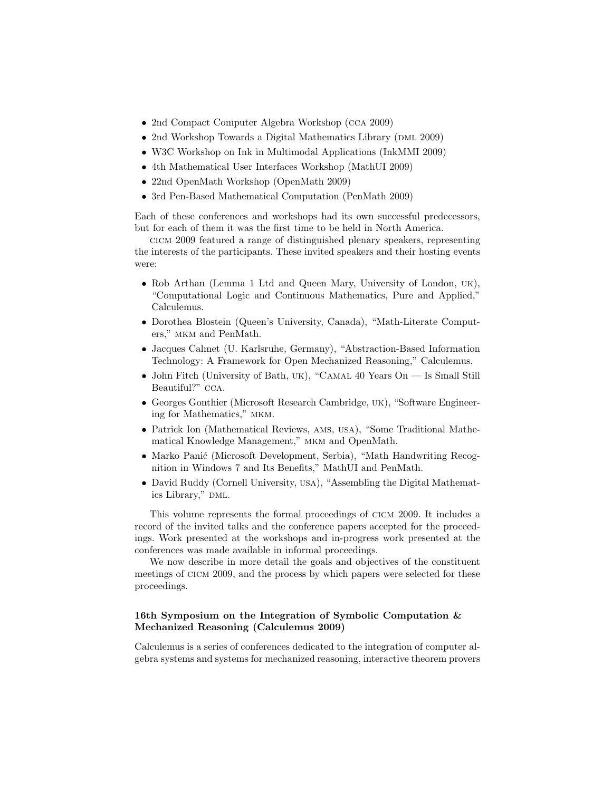- 2nd Compact Computer Algebra Workshop (CCA 2009)
- 2nd Workshop Towards a Digital Mathematics Library (DML 2009)
- W3C Workshop on Ink in Multimodal Applications (InkMMI 2009)
- 4th Mathematical User Interfaces Workshop (MathUI 2009)
- 22nd OpenMath Workshop (OpenMath 2009)
- 3rd Pen-Based Mathematical Computation (PenMath 2009)

Each of these conferences and workshops had its own successful predecessors, but for each of them it was the first time to be held in North America.

cicm 2009 featured a range of distinguished plenary speakers, representing the interests of the participants. These invited speakers and their hosting events were:

- Rob Arthan (Lemma 1 Ltd and Queen Mary, University of London, UK), "Computational Logic and Continuous Mathematics, Pure and Applied," Calculemus.
- Dorothea Blostein (Queen's University, Canada), "Math-Literate Computers," mkm and PenMath.
- Jacques Calmet (U. Karlsruhe, Germany), "Abstraction-Based Information Technology: A Framework for Open Mechanized Reasoning," Calculemus.
- John Fitch (University of Bath, UK), "CAMAL 40 Years On Is Small Still Beautiful?" cca.
- Georges Gonthier (Microsoft Research Cambridge, uk), "Software Engineering for Mathematics," mkm.
- Patrick Ion (Mathematical Reviews, ams, usa), "Some Traditional Mathematical Knowledge Management," mkm and OpenMath.
- Marko Panić (Microsoft Development, Serbia), "Math Handwriting Recognition in Windows 7 and Its Benefits," MathUI and PenMath.
- David Ruddy (Cornell University, usa), "Assembling the Digital Mathematics Library," DML.

This volume represents the formal proceedings of cicm 2009. It includes a record of the invited talks and the conference papers accepted for the proceedings. Work presented at the workshops and in-progress work presented at the conferences was made available in informal proceedings.

We now describe in more detail the goals and objectives of the constituent meetings of cicm 2009, and the process by which papers were selected for these proceedings.

### 16th Symposium on the Integration of Symbolic Computation & Mechanized Reasoning (Calculemus 2009)

Calculemus is a series of conferences dedicated to the integration of computer algebra systems and systems for mechanized reasoning, interactive theorem provers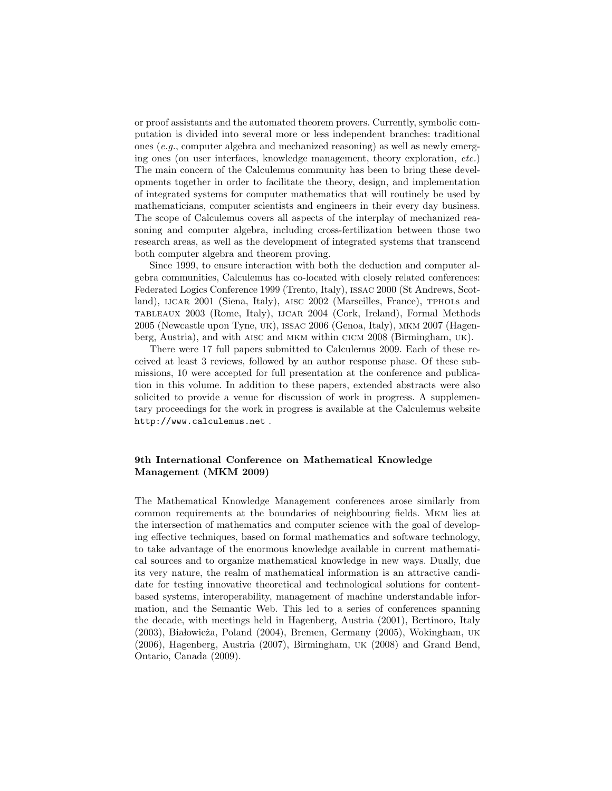or proof assistants and the automated theorem provers. Currently, symbolic computation is divided into several more or less independent branches: traditional ones (e.g., computer algebra and mechanized reasoning) as well as newly emerging ones (on user interfaces, knowledge management, theory exploration, etc.) The main concern of the Calculemus community has been to bring these developments together in order to facilitate the theory, design, and implementation of integrated systems for computer mathematics that will routinely be used by mathematicians, computer scientists and engineers in their every day business. The scope of Calculemus covers all aspects of the interplay of mechanized reasoning and computer algebra, including cross-fertilization between those two research areas, as well as the development of integrated systems that transcend both computer algebra and theorem proving.

Since 1999, to ensure interaction with both the deduction and computer algebra communities, Calculemus has co-located with closely related conferences: Federated Logics Conference 1999 (Trento, Italy), issac 2000 (St Andrews, Scotland), IJCAR 2001 (Siena, Italy), AISC 2002 (Marseilles, France), TPHOLS and tableaux 2003 (Rome, Italy), ijcar 2004 (Cork, Ireland), Formal Methods 2005 (Newcastle upon Tyne, uk), issac 2006 (Genoa, Italy), mkm 2007 (Hagenberg, Austria), and with aisc and mkm within cicm 2008 (Birmingham, uk).

There were 17 full papers submitted to Calculemus 2009. Each of these received at least 3 reviews, followed by an author response phase. Of these submissions, 10 were accepted for full presentation at the conference and publication in this volume. In addition to these papers, extended abstracts were also solicited to provide a venue for discussion of work in progress. A supplementary proceedings for the work in progress is available at the Calculemus website http://www.calculemus.net .

## 9th International Conference on Mathematical Knowledge Management (MKM 2009)

The Mathematical Knowledge Management conferences arose similarly from common requirements at the boundaries of neighbouring fields. Mkm lies at the intersection of mathematics and computer science with the goal of developing effective techniques, based on formal mathematics and software technology, to take advantage of the enormous knowledge available in current mathematical sources and to organize mathematical knowledge in new ways. Dually, due its very nature, the realm of mathematical information is an attractive candidate for testing innovative theoretical and technological solutions for contentbased systems, interoperability, management of machine understandable information, and the Semantic Web. This led to a series of conferences spanning the decade, with meetings held in Hagenberg, Austria (2001), Bertinoro, Italy  $(2003)$ , Białowieża, Poland  $(2004)$ , Bremen, Germany  $(2005)$ , Wokingham, UK (2006), Hagenberg, Austria (2007), Birmingham, uk (2008) and Grand Bend, Ontario, Canada (2009).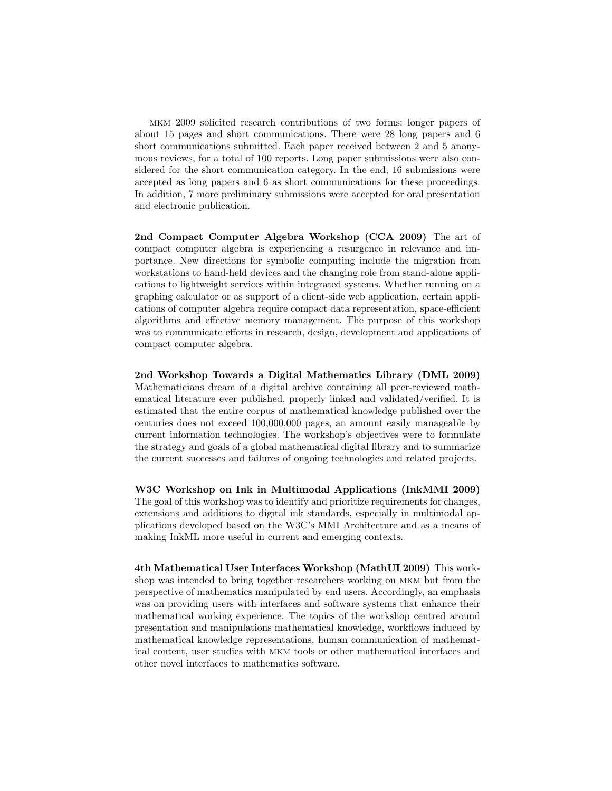mkm 2009 solicited research contributions of two forms: longer papers of about 15 pages and short communications. There were 28 long papers and 6 short communications submitted. Each paper received between 2 and 5 anonymous reviews, for a total of 100 reports. Long paper submissions were also considered for the short communication category. In the end, 16 submissions were accepted as long papers and 6 as short communications for these proceedings. In addition, 7 more preliminary submissions were accepted for oral presentation and electronic publication.

2nd Compact Computer Algebra Workshop (CCA 2009) The art of compact computer algebra is experiencing a resurgence in relevance and importance. New directions for symbolic computing include the migration from workstations to hand-held devices and the changing role from stand-alone applications to lightweight services within integrated systems. Whether running on a graphing calculator or as support of a client-side web application, certain applications of computer algebra require compact data representation, space-efficient algorithms and effective memory management. The purpose of this workshop was to communicate efforts in research, design, development and applications of compact computer algebra.

2nd Workshop Towards a Digital Mathematics Library (DML 2009) Mathematicians dream of a digital archive containing all peer-reviewed mathematical literature ever published, properly linked and validated/verified. It is estimated that the entire corpus of mathematical knowledge published over the centuries does not exceed 100,000,000 pages, an amount easily manageable by current information technologies. The workshop's objectives were to formulate the strategy and goals of a global mathematical digital library and to summarize the current successes and failures of ongoing technologies and related projects.

W3C Workshop on Ink in Multimodal Applications (InkMMI 2009) The goal of this workshop was to identify and prioritize requirements for changes, extensions and additions to digital ink standards, especially in multimodal applications developed based on the W3C's MMI Architecture and as a means of making InkML more useful in current and emerging contexts.

4th Mathematical User Interfaces Workshop (MathUI 2009) This workshop was intended to bring together researchers working on mkm but from the perspective of mathematics manipulated by end users. Accordingly, an emphasis was on providing users with interfaces and software systems that enhance their mathematical working experience. The topics of the workshop centred around presentation and manipulations mathematical knowledge, workflows induced by mathematical knowledge representations, human communication of mathematical content, user studies with mkm tools or other mathematical interfaces and other novel interfaces to mathematics software.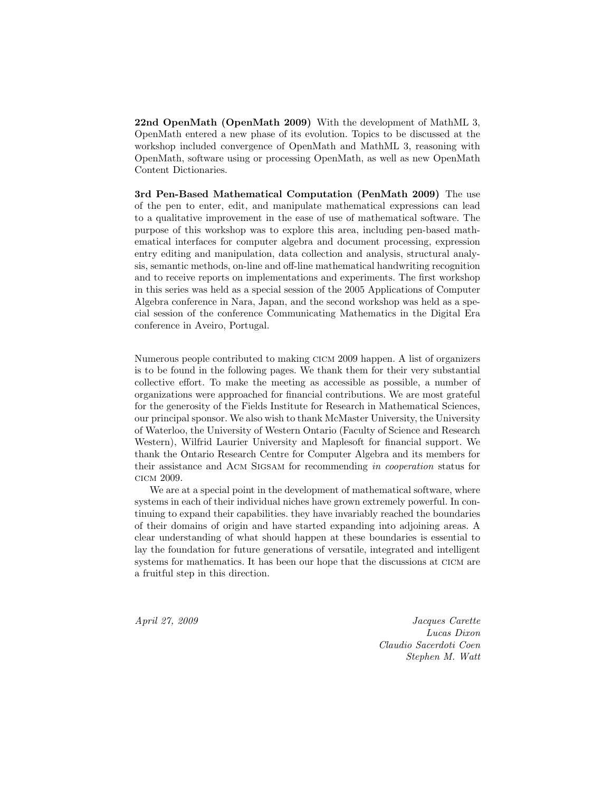22nd OpenMath (OpenMath 2009) With the development of MathML 3, OpenMath entered a new phase of its evolution. Topics to be discussed at the workshop included convergence of OpenMath and MathML 3, reasoning with OpenMath, software using or processing OpenMath, as well as new OpenMath Content Dictionaries.

3rd Pen-Based Mathematical Computation (PenMath 2009) The use of the pen to enter, edit, and manipulate mathematical expressions can lead to a qualitative improvement in the ease of use of mathematical software. The purpose of this workshop was to explore this area, including pen-based mathematical interfaces for computer algebra and document processing, expression entry editing and manipulation, data collection and analysis, structural analysis, semantic methods, on-line and off-line mathematical handwriting recognition and to receive reports on implementations and experiments. The first workshop in this series was held as a special session of the 2005 Applications of Computer Algebra conference in Nara, Japan, and the second workshop was held as a special session of the conference Communicating Mathematics in the Digital Era conference in Aveiro, Portugal.

Numerous people contributed to making cicm 2009 happen. A list of organizers is to be found in the following pages. We thank them for their very substantial collective effort. To make the meeting as accessible as possible, a number of organizations were approached for financial contributions. We are most grateful for the generosity of the Fields Institute for Research in Mathematical Sciences, our principal sponsor. We also wish to thank McMaster University, the University of Waterloo, the University of Western Ontario (Faculty of Science and Research Western), Wilfrid Laurier University and Maplesoft for financial support. We thank the Ontario Research Centre for Computer Algebra and its members for their assistance and Acm Sigsam for recommending in cooperation status for cicm 2009.

We are at a special point in the development of mathematical software, where systems in each of their individual niches have grown extremely powerful. In continuing to expand their capabilities. they have invariably reached the boundaries of their domains of origin and have started expanding into adjoining areas. A clear understanding of what should happen at these boundaries is essential to lay the foundation for future generations of versatile, integrated and intelligent systems for mathematics. It has been our hope that the discussions at CICM are a fruitful step in this direction.

April 27, 2009 Jacques Carette Lucas Dixon Claudio Sacerdoti Coen Stephen M. Watt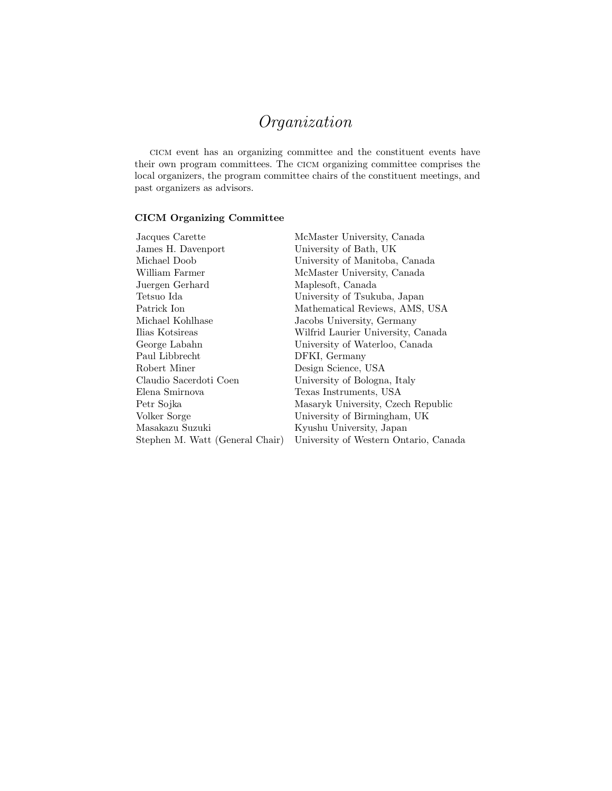# Organization

cicm event has an organizing committee and the constituent events have their own program committees. The CICM organizing committee comprises the local organizers, the program committee chairs of the constituent meetings, and past organizers as advisors.

## CICM Organizing Committee

| Jacques Carette                 | McMaster University, Canada           |
|---------------------------------|---------------------------------------|
| James H. Davenport              | University of Bath, UK                |
| Michael Doob                    | University of Manitoba, Canada        |
| William Farmer                  | McMaster University, Canada           |
| Juergen Gerhard                 | Maplesoft, Canada                     |
| Tetsuo Ida                      | University of Tsukuba, Japan          |
| Patrick Ion                     | Mathematical Reviews, AMS, USA        |
| Michael Kohlhase                | Jacobs University, Germany            |
| Ilias Kotsireas                 | Wilfrid Laurier University, Canada    |
| George Labahn                   | University of Waterloo, Canada        |
| Paul Libbrecht                  | DFKI, Germany                         |
| Robert Miner                    | Design Science, USA                   |
| Claudio Sacerdoti Coen          | University of Bologna, Italy          |
| Elena Smirnova                  | Texas Instruments, USA                |
| Petr Sojka                      | Masaryk University, Czech Republic    |
| Volker Sorge                    | University of Birmingham, UK          |
| Masakazu Suzuki                 | Kyushu University, Japan              |
| Stephen M. Watt (General Chair) | University of Western Ontario, Canada |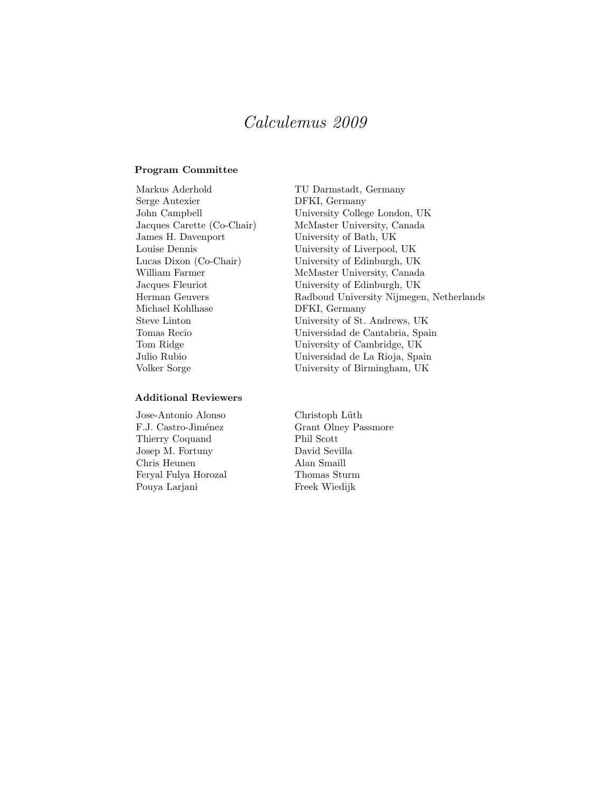## Calculemus 2009

## Program Committee

Markus Aderhold TU Darmstadt, Germany Serge Autexier DFKI, Germany James H. Davenport University of Bath, UK Michael Kohlhase DFKI, Germany

#### Additional Reviewers

Jose-Antonio Alonso Christoph Lüth Thierry Coquand Phil Scott Josep M. Fortuny David Sevilla Chris Heunen Alan Smaill Feryal Fulya Horozal Thomas Sturm Pouya Larjani Freek Wiedijk

John Campbell University College London, UK Jacques Carette (Co-Chair) McMaster University, Canada Louise Dennis University of Liverpool, UK Lucas Dixon (Co-Chair) University of Edinburgh, UK William Farmer McMaster University, Canada Jacques Fleuriot University of Edinburgh, UK Herman Geuvers Radboud University Nijmegen, Netherlands Steve Linton University of St. Andrews, UK Tomas Recio Universidad de Cantabria, Spain Tom Ridge University of Cambridge, UK Julio Rubio Universidad de La Rioja, Spain Volker Sorge University of Birmingham, UK

F.J. Castro-Jiménez Grant Olney Passmore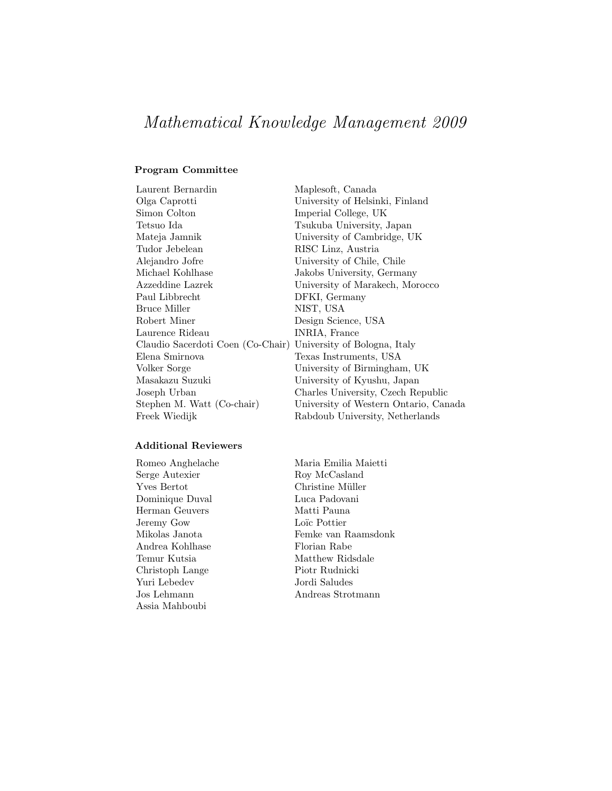## Mathematical Knowledge Management 2009

## Program Committee

Laurent Bernardin Maplesoft, Canada Olga Caprotti University of Helsinki, Finland Simon Colton Imperial College, UK Tetsuo Ida Tsukuba University, Japan Mateja Jamnik University of Cambridge, UK Tudor Jebelean RISC Linz, Austria Alejandro Jofre University of Chile, Chile Michael Kohlhase Jakobs University, Germany Azzeddine Lazrek University of Marakech, Morocco Paul Libbrecht DFKI, Germany Bruce Miller NIST, USA Robert Miner Design Science, USA Laurence Rideau INRIA, France Claudio Sacerdoti Coen (Co-Chair) University of Bologna, Italy Elena Smirnova Texas Instruments, USA Volker Sorge University of Birmingham, UK Masakazu Suzuki University of Kyushu, Japan Joseph Urban Charles University, Czech Republic Stephen M. Watt (Co-chair) University of Western Ontario, Canada

Freek Wiedijk Rabdoub University, Netherlands

#### Additional Reviewers

Serge Autexier Roy McCasland Yves Bertot Christine Müller Dominique Duval Luca Padovani Herman Geuvers Matti Pauna Jeremy Gow Loïc Pottier Andrea Kohlhase Florian Rabe Temur Kutsia Matthew Ridsdale Christoph Lange Piotr Rudnicki Yuri Lebedev Jordi Saludes Jos Lehmann Andreas Strotmann Assia Mahboubi

Romeo Anghelache Maria Emilia Maietti Mikolas Janota Femke van Raamsdonk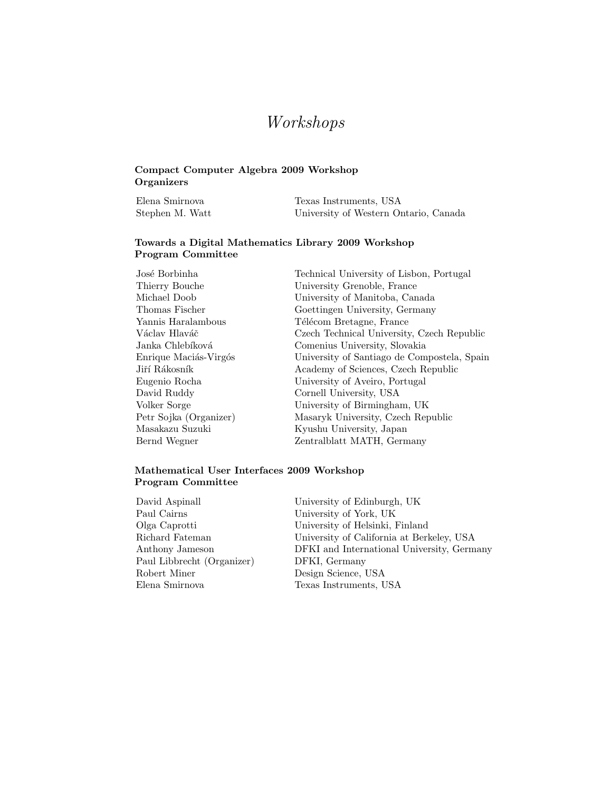## Workshops

## Compact Computer Algebra 2009 Workshop **Organizers**

| Elena Smirnova  | Texas Instruments, USA                |
|-----------------|---------------------------------------|
| Stephen M. Watt | University of Western Ontario, Canada |

## Towards a Digital Mathematics Library 2009 Workshop Program Committee

| José Borbinha          | Technical University of Lisbon, Portugal    |
|------------------------|---------------------------------------------|
| Thierry Bouche         | University Grenoble, France                 |
| Michael Doob           | University of Manitoba, Canada              |
| Thomas Fischer         | Goettingen University, Germany              |
| Yannis Haralambous     | Télécom Bretagne, France                    |
| Václav Hlaváč          | Czech Technical University, Czech Republic  |
| Janka Chlebíková       | Comenius University, Slovakia               |
| Enrique Maciás-Virgós  | University of Santiago de Compostela, Spain |
| Jiří Rákosník          | Academy of Sciences, Czech Republic         |
| Eugenio Rocha          | University of Aveiro, Portugal              |
| David Ruddy            | Cornell University, USA                     |
| Volker Sorge           | University of Birmingham, UK                |
| Petr Sojka (Organizer) | Masaryk University, Czech Republic          |
| Masakazu Suzuki        | Kyushu University, Japan                    |
| Bernd Wegner           | Zentralblatt MATH, Germany                  |

## Mathematical User Interfaces 2009 Workshop Program Committee

Paul Cairns University of York, UK Paul Libbrecht (Organizer) DFKI, Germany Robert Miner Design Science, USA Elena Smirnova Texas Instruments, USA

David Aspinall University of Edinburgh, UK Olga Caprotti University of Helsinki, Finland Richard Fateman University of California at Berkeley, USA Anthony Jameson DFKI and International University, Germany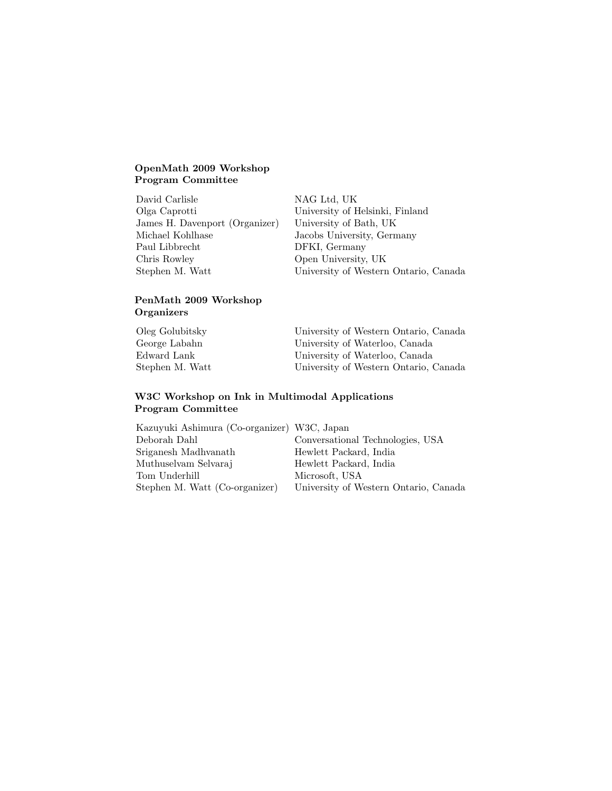### OpenMath 2009 Workshop Program Committee

| David Carlisle                 | NAG Ltd, UK                           |
|--------------------------------|---------------------------------------|
| Olga Caprotti                  | University of Helsinki, Finland       |
| James H. Davenport (Organizer) | University of Bath, UK                |
| Michael Kohlhase               | Jacobs University, Germany            |
| Paul Libbrecht                 | DFKI, Germany                         |
| Chris Rowley                   | Open University, UK                   |
| Stephen M. Watt                | University of Western Ontario, Canada |

## PenMath 2009 Workshop Organizers

| Oleg Golubitsky | University of Western Ontario, Canada |
|-----------------|---------------------------------------|
| George Labahn   | University of Waterloo, Canada        |
| Edward Lank     | University of Waterloo, Canada        |
| Stephen M. Watt | University of Western Ontario, Canada |

## W3C Workshop on Ink in Multimodal Applications Program Committee

| Kazuyuki Ashimura (Co-organizer) W3C, Japan |                                       |
|---------------------------------------------|---------------------------------------|
| Deborah Dahl                                | Conversational Technologies, USA      |
| Sriganesh Madhvanath                        | Hewlett Packard, India                |
| Muthuselvam Selvaraj                        | Hewlett Packard, India                |
| Tom Underhill                               | Microsoft, USA                        |
| Stephen M. Watt (Co-organizer)              | University of Western Ontario, Canada |